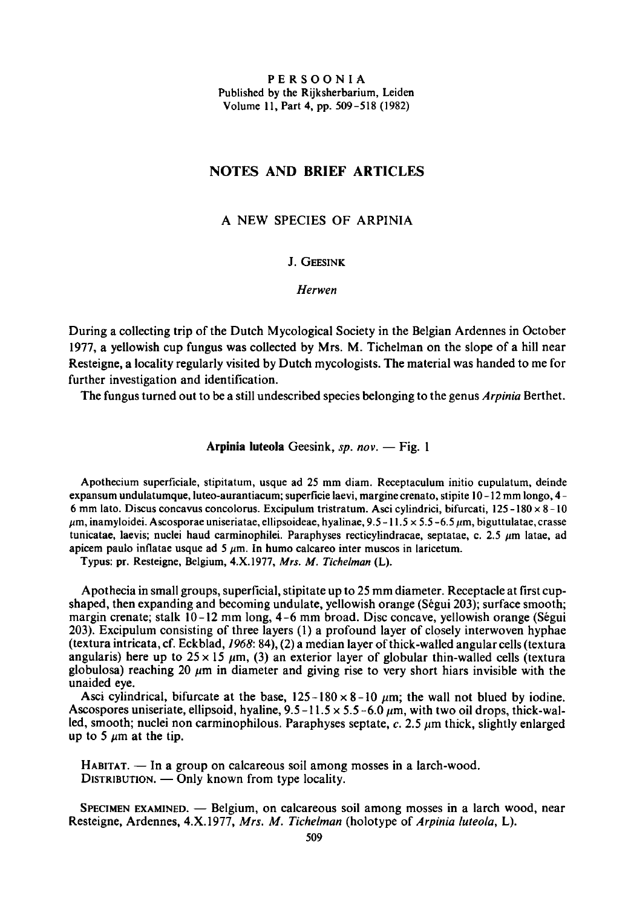PERSOONIA Published by the Rijksherbarium, Leiden Volume 11, Part 4, pp. 509-518 (1982)

## Notes and brief articles

## <sup>a</sup> new species of Arpinia

## J. Geesink

Herwen

During <sup>a</sup> collecting trip of the Dutch Mycological Society in the Belgian Ardennes in October 1977, <sup>a</sup> yellowish cup fungus was collected by Mrs. M. Tichelman on the slope of <sup>a</sup> hill near Resteigne, a locality regularly visited by Dutch mycologists. The material was handed to me for further investigation and identification.

The fungus turned out to be a still undescribed species belonging to the genus Arpinia Berthet.

Arpinia luteola Geesink, sp. nov. - Fig. 1

Apothecium superficiale, stipitatum, usque ad <sup>25</sup> mm diam. Receptaculum initio cupulatum, deinde expansum undulatumque, luteo-aurantiacum; superficie laevi, margine crenato, stipite 10-12 mm longo, 4-<sup>6</sup> mm lato. Discus concavus concolorus. Excipulum tristratum. Asci cylindrici, bifurcati, 125-180 <sup>x</sup> 8-10  $\mu$ m, inamyloidei. Ascosporae uniseriatae, ellipsoideae, hyalinae, 9.5 -11.5 x 5.5 -6.5  $\mu$ m, biguttulatae, crasse tunicatae, laevis; nuclei haud carminophilei. Paraphyses recticylindracae, septatae, c. 2.5  $\mu$ m latae, ad apicem paulo inflatae usque ad 5  $\mu$ m. In humo calcareo inter muscos in laricetum.

Typus: pr. Resteigne, Belgium, 4.X.1977, Mrs. M. Tichelman (L).

Apothecia in small groups, superficial, stipitate up to <sup>25</sup> mm diameter.Receptacle at first cupshaped, then expanding and becoming undulate, yellowish orange (Segui 203); surface smooth; margin crenate; stalk 10-12 mm long, 4-6 mm broad. Disc concave, yellowish orange (Segui 203). Excipulum consisting of three layers (1) <sup>a</sup> profound layer of closely interwoven hyphae (textura intricata, cf. Eckblad, 1968: 84), (2) amedian layer of thick-walledangular cells(textura angularis) here up to  $25 \times 15 \mu m$ , (3) an exterior layer of globular thin-walled cells (textura globulosa) reaching 20  $\mu$ m in diameter and giving rise to very short hiars invisible with the unaided eye.

Asci cylindrical, bifurcate at the base,  $125-180\times8-10$  µm; the wall not blued by iodine. Ascospores uniseriate, ellipsoid, hyaline,  $9.5 - 11.5 \times 5.5 - 6.0 \mu m$ , with two oil drops, thick-walled, smooth; nuclei non carminophilous. Paraphyses septate,  $c$ . 2.5  $\mu$ m thick, slightly enlarged up to 5  $\mu$ m at the tip.

HABITAT. — In <sup>a</sup> group on calcareous soil among mosses in <sup>a</sup> larch-wood. DISTRIBUTION.  $-$  Only known from type locality

SPECIMEN EXAMINED. — Belgium, on calcareous soil among mosses in a larch wood, near Resteigne, Ardennes, 4.X.1977, Mrs. M. Tichelman (holotype of Arpinia luteola, L).